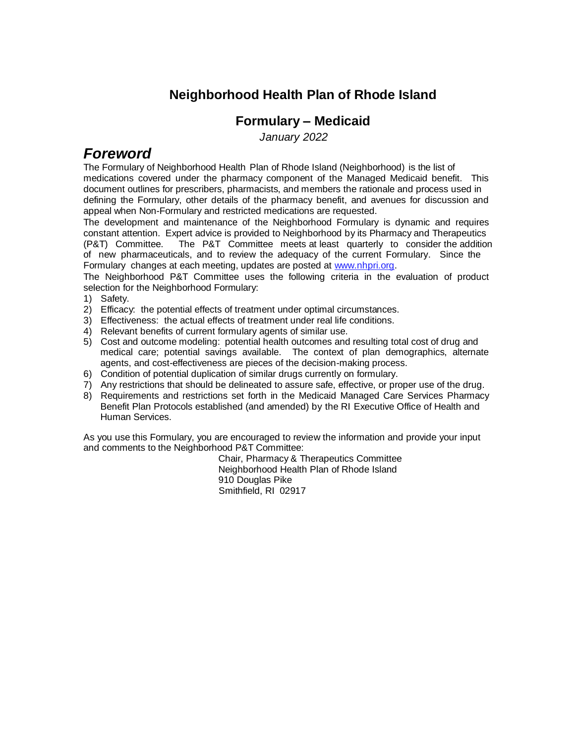#### **Neighborhood Health Plan of Rhode Island**

#### **Formulary – Medicaid**

 *January 2022*

### *Foreword*

The Formulary of Neighborhood Health Plan of Rhode Island (Neighborhood) is the list of medications covered under the pharmacy component of the Managed Medicaid benefit. This document outlines for prescribers, pharmacists, and members the rationale and process used in defining the Formulary, other details of the pharmacy benefit, and avenues for discussion and appeal when Non-Formulary and restricted medications are requested.

The development and maintenance of the Neighborhood Formulary is dynamic and requires constant attention. Expert advice is provided to Neighborhood by its Pharmacy and Therapeutics<br>(P&T) Committee. The P&T Committee meets at least quarterly to consider the addition The P&T Committee meets at least quarterly to consider the addition of new pharmaceuticals, and to review the adequacy of the current Formulary. Since the Formulary changes at each meeting, updates are posted at [www.nhpri.org.](http://www.nhpri.org/) 

The Neighborhood P&T Committee uses the following criteria in the evaluation of product selection for the Neighborhood Formulary:

- 1) Safety.
- 2) Efficacy: the potential effects of treatment under optimal circumstances.
- 3) Effectiveness: the actual effects of treatment under real life conditions.
- 4) Relevant benefits of current formulary agents of similar use.
- 5) Cost and outcome modeling: potential health outcomes and resulting total cost of drug and medical care; potential savings available. The context of plan demographics, alternate agents, and cost-effectiveness are pieces of the decision-making process.
- 6) Condition of potential duplication of similar drugs currently on formulary.
- 7) Any restrictions that should be delineated to assure safe, effective, or proper use of the drug.
- 8) Requirements and restrictions set forth in the Medicaid Managed Care Services Pharmacy Benefit Plan Protocols established (and amended) by the RI Executive Office of Health and Human Services.

As you use this Formulary, you are encouraged to review the information and provide your input and comments to the Neighborhood P&T Committee:

Chair, Pharmacy & Therapeutics Committee Neighborhood Health Plan of Rhode Island 910 Douglas Pike Smithfield, RI 02917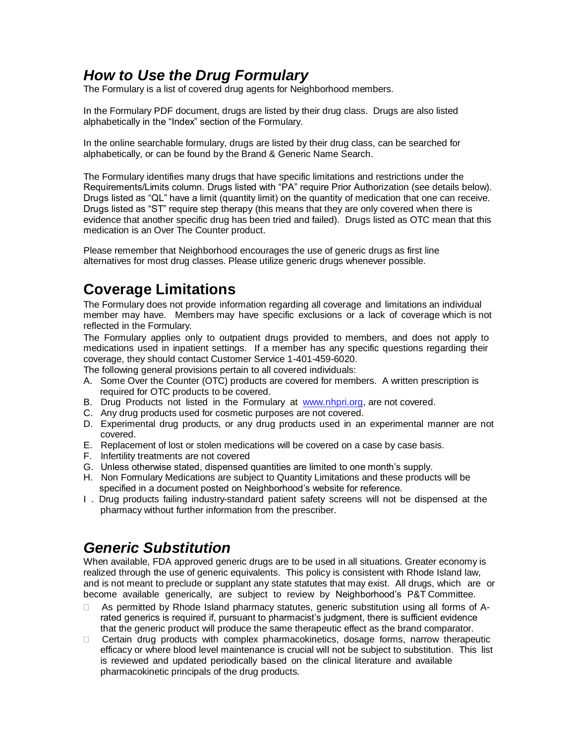# *How to Use the Drug Formulary*

The Formulary is a list of covered drug agents for Neighborhood members.

In the Formulary PDF document, drugs are listed by their drug class. Drugs are also listed alphabetically in the "Index" section of the Formulary.

In the online searchable formulary, drugs are listed by their drug class, can be searched for alphabetically, or can be found by the Brand & Generic Name Search.

The Formulary identifies many drugs that have specific limitations and restrictions under the Requirements/Limits column. Drugs listed with "PA" require Prior Authorization (see details below). Drugs listed as "QL" have a limit (quantity limit) on the quantity of medication that one can receive. Drugs listed as "ST" require step therapy (this means that they are only covered when there is evidence that another specific drug has been tried and failed). Drugs listed as OTC mean that this medication is an Over The Counter product.

Please remember that Neighborhood encourages the use of generic drugs as first line alternatives for most drug classes. Please utilize generic drugs whenever possible.

# **Coverage Limitations**

The Formulary does not provide information regarding all coverage and limitations an individual member may have. Members may have specific exclusions or a lack of coverage which is not reflected in the Formulary.

The Formulary applies only to outpatient drugs provided to members, and does not apply to medications used in inpatient settings. If a member has any specific questions regarding their coverage, they should contact Customer Service 1-401-459-6020.

The following general provisions pertain to all covered individuals:

- A. Some Over the Counter (OTC) products are covered for members. A written prescription is required for OTC products to be covered.
- B. Drug Products not listed in the Formulary at [www.nhpri.org,](http://www.nhpri.org/) are not covered.
- C. Any drug products used for cosmetic purposes are not covered.
- D. Experimental drug products, or any drug products used in an experimental manner are not covered.
- E. Replacement of lost or stolen medications will be covered on a case by case basis.
- F. Infertility treatments are not covered
- G. Unless otherwise stated, dispensed quantities are limited to one month's supply.
- H. Non Formulary Medications are subject to Quantity Limitations and these products will be specified in a document posted on Neighborhood's website for reference.
- I . Drug products failing industry-standard patient safety screens will not be dispensed at the pharmacy without further information from the prescriber.

### *Generic Substitution*

When available, FDA approved generic drugs are to be used in all situations. Greater economy is realized through the use of generic equivalents. This policy is consistent with Rhode Island law, and is not meant to preclude or supplant any state statutes that may exist. All drugs, which are or become available generically, are subject to review by Neighborhood's P&T Committee.

- As permitted by Rhode Island pharmacy statutes, generic substitution using all forms of Arated generics is required if, pursuant to pharmacist's judgment, there is sufficient evidence that the generic product will produce the same therapeutic effect as the brand comparator.
- $\Box$  Certain drug products with complex pharmacokinetics, dosage forms, narrow therapeutic efficacy or where blood level maintenance is crucial will not be subject to substitution. This list is reviewed and updated periodically based on the clinical literature and available pharmacokinetic principals of the drug products.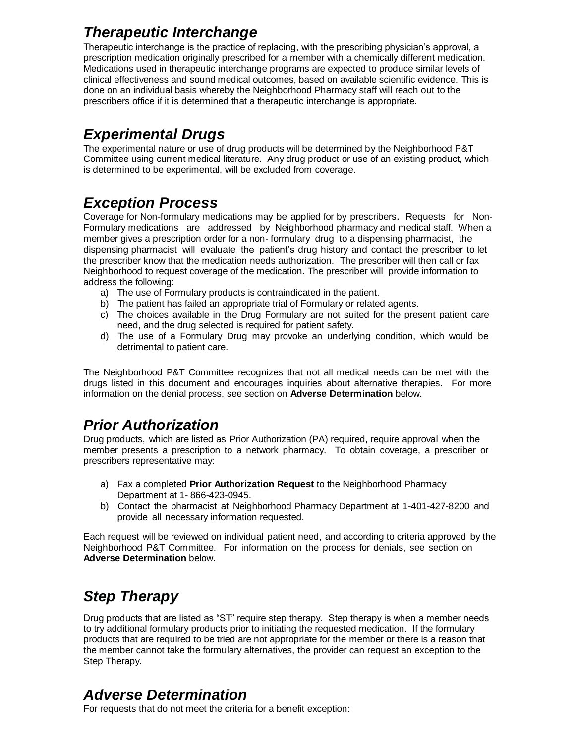# *Therapeutic Interchange*

Therapeutic interchange is the practice of replacing, with the prescribing physician's approval, a prescription medication originally prescribed for a member with a chemically different medication. Medications used in therapeutic interchange programs are expected to produce similar levels of clinical effectiveness and sound medical outcomes, based on available scientific evidence. This is done on an individual basis whereby the Neighborhood Pharmacy staff will reach out to the prescribers office if it is determined that a therapeutic interchange is appropriate.

# *Experimental Drugs*

The experimental nature or use of drug products will be determined by the Neighborhood P&T Committee using current medical literature. Any drug product or use of an existing product, which is determined to be experimental, will be excluded from coverage.

# *Exception Process*

Coverage for Non-formulary medications may be applied for by prescribers. Requests for Non-Formulary medications are addressed by Neighborhood pharmacy and medical staff. When a member gives a prescription order for a non- formulary drug to a dispensing pharmacist, the dispensing pharmacist will evaluate the patient's drug history and contact the prescriber to let the prescriber know that the medication needs authorization. The prescriber will then call or fax Neighborhood to request coverage of the medication. The prescriber will provide information to address the following:

- a) The use of Formulary products is contraindicated in the patient.
- b) The patient has failed an appropriate trial of Formulary or related agents.
- c) The choices available in the Drug Formulary are not suited for the present patient care need, and the drug selected is required for patient safety.
- d) The use of a Formulary Drug may provoke an underlying condition, which would be detrimental to patient care.

The Neighborhood P&T Committee recognizes that not all medical needs can be met with the drugs listed in this document and encourages inquiries about alternative therapies. For more information on the denial process, see section on **Adverse Determination** below.

# *Prior Authorization*

Drug products, which are listed as Prior Authorization (PA) required, require approval when the member presents a prescription to a network pharmacy. To obtain coverage, a prescriber or prescribers representative may:

- a) Fax a completed **Prior Authorization Request** to the Neighborhood Pharmacy Department at 1- 866-423-0945.
- b) Contact the pharmacist at Neighborhood Pharmacy Department at 1-401-427-8200 and provide all necessary information requested.

Each request will be reviewed on individual patient need, and according to criteria approved by the Neighborhood P&T Committee. For information on the process for denials, see section on **Adverse Determination** below.

# *Step Therapy*

Drug products that are listed as "ST" require step therapy. Step therapy is when a member needs to try additional formulary products prior to initiating the requested medication. If the formulary products that are required to be tried are not appropriate for the member or there is a reason that the member cannot take the formulary alternatives, the provider can request an exception to the Step Therapy.

### *Adverse Determination*

For requests that do not meet the criteria for a benefit exception: